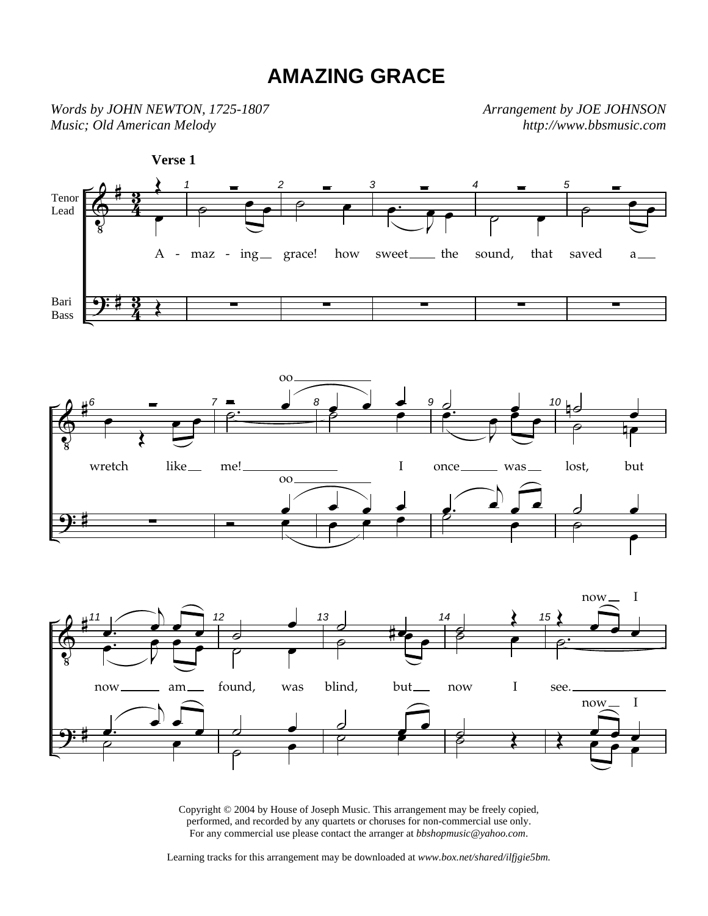## **AMAZING GRACE**

*Words by JOHN NEWTON, 1725-1807 Music; Old American Melody* 

*Arrangement by JOE JOHNSON http://www.bbsmusic.com*



Copyright © 2004 by House of Joseph Music. This arrangement may be freely copied, performed, and recorded by any quartets or choruses for non-commercial use only. For any commercial use please contact the arranger at *bbshopmusic@yahoo.com*.

Learning tracks for this arrangement may be downloaded at *www.box.net/shared/ilfjgie5bm.*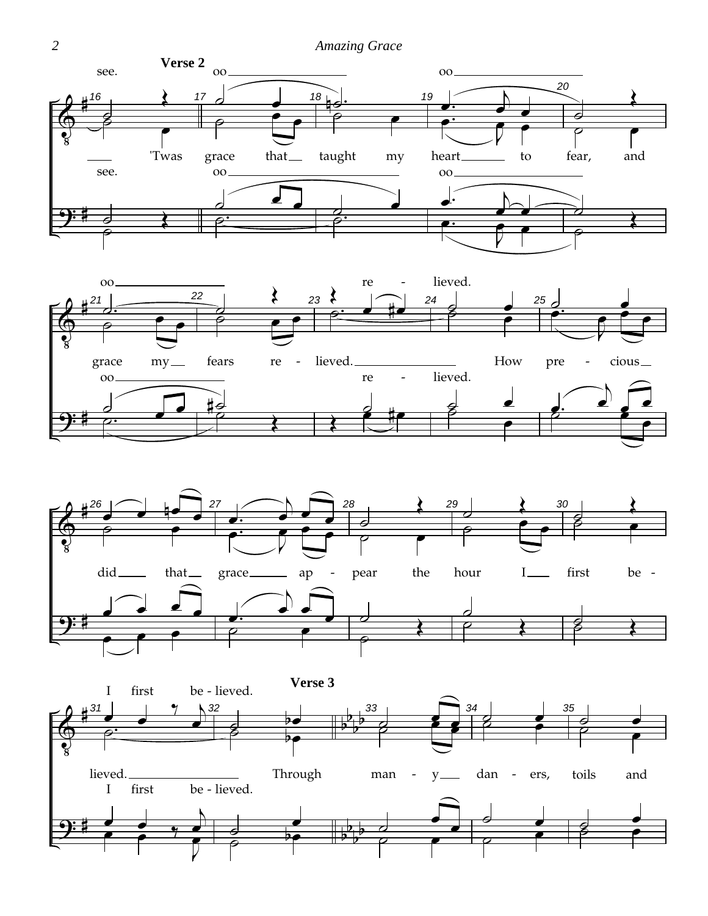





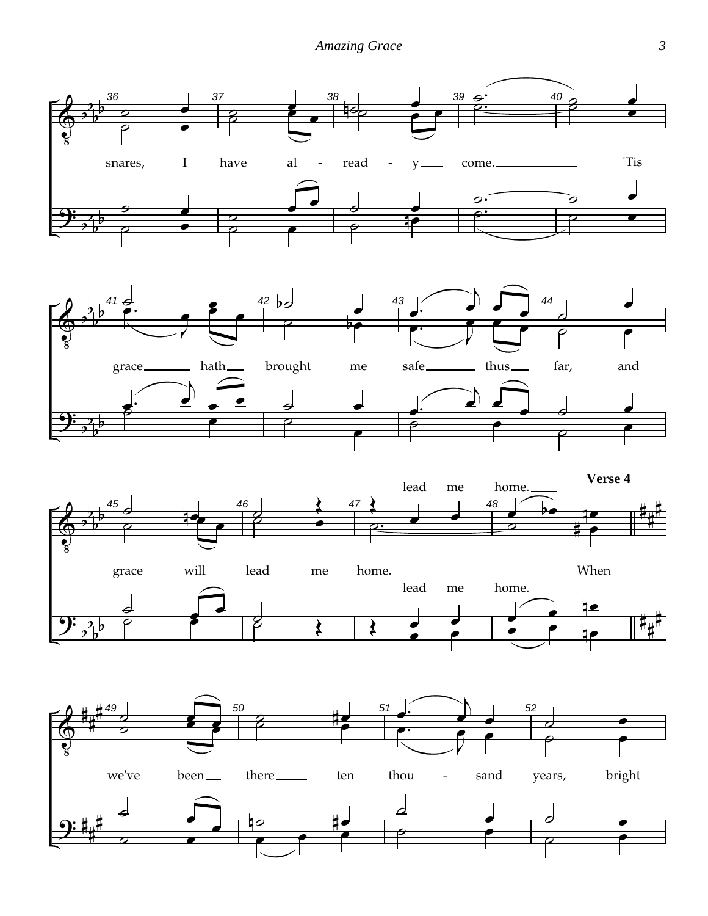